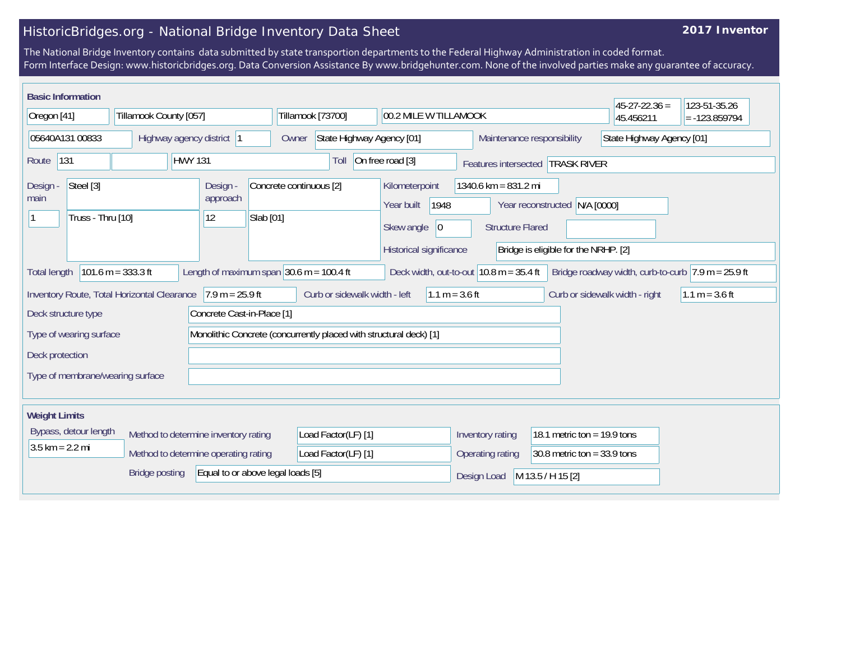## HistoricBridges.org - National Bridge Inventory Data Sheet

## **2017 Inventor**

The National Bridge Inventory contains data submitted by state transportion departments to the Federal Highway Administration in coded format. Form Interface Design: www.historicbridges.org. Data Conversion Assistance By www.bridgehunter.com. None of the involved parties make any guarantee of accuracy.

| <b>Basic Information</b> |                                |                                             |                |                                                              |                                      |                                                                    |                                            |                     |                  |                                                 |                                      | $45-27-22.36 =$                | 123-51-35.26                                         |
|--------------------------|--------------------------------|---------------------------------------------|----------------|--------------------------------------------------------------|--------------------------------------|--------------------------------------------------------------------|--------------------------------------------|---------------------|------------------|-------------------------------------------------|--------------------------------------|--------------------------------|------------------------------------------------------|
| Oregon [41]              |                                | Tillamook County [057]                      |                |                                                              |                                      | Tillamook [73700]                                                  | 00.2 MILE W TILLAMOOK                      |                     |                  |                                                 |                                      | 45.456211                      | $= -123.859794$                                      |
| 05640A131 00833          |                                |                                             |                | Highway agency district 1                                    | Owner                                | State Highway Agency [01]                                          |                                            |                     |                  |                                                 | Maintenance responsibility           | State Highway Agency [01]      |                                                      |
| 131<br>Route             |                                |                                             | <b>HWY 131</b> |                                                              |                                      | Toll                                                               | On free road [3]                           |                     |                  |                                                 | Features intersected TRASK RIVER     |                                |                                                      |
| Design -<br>main         | Steel [3]<br>Truss - Thru [10] |                                             |                | Design -<br>approach<br>12                                   | Concrete continuous [2]<br>Slab [01] |                                                                    | Kilometerpoint<br>Year built<br>Skew angle | 1948<br>$ 0\rangle$ |                  | 1340.6 km = 831.2 mi<br><b>Structure Flared</b> | Year reconstructed N/A [0000]        |                                |                                                      |
|                          |                                |                                             |                |                                                              |                                      |                                                                    | Historical significance                    |                     |                  |                                                 | Bridge is eligible for the NRHP. [2] |                                |                                                      |
| <b>Total length</b>      |                                | 101.6 m = $333.3$ ft                        |                | Length of maximum span $ 30.6 \text{ m} = 100.4 \text{ ft} $ |                                      |                                                                    |                                            |                     |                  | Deck width, out-to-out $10.8$ m = 35.4 ft       |                                      |                                | Bridge roadway width, curb-to-curb $7.9$ m = 25.9 ft |
|                          |                                | Inventory Route, Total Horizontal Clearance |                | $7.9 m = 25.9 ft$                                            |                                      | Curb or sidewalk width - left                                      |                                            | $1.1 m = 3.6 ft$    |                  |                                                 |                                      | Curb or sidewalk width - right | $1.1 m = 3.6 ft$                                     |
| Deck structure type      |                                |                                             |                | Concrete Cast-in-Place [1]                                   |                                      |                                                                    |                                            |                     |                  |                                                 |                                      |                                |                                                      |
|                          | Type of wearing surface        |                                             |                |                                                              |                                      | Monolithic Concrete (concurrently placed with structural deck) [1] |                                            |                     |                  |                                                 |                                      |                                |                                                      |
| Deck protection          |                                |                                             |                |                                                              |                                      |                                                                    |                                            |                     |                  |                                                 |                                      |                                |                                                      |
|                          |                                | Type of membrane/wearing surface            |                |                                                              |                                      |                                                                    |                                            |                     |                  |                                                 |                                      |                                |                                                      |
| <b>Weight Limits</b>     |                                |                                             |                |                                                              |                                      |                                                                    |                                            |                     |                  |                                                 |                                      |                                |                                                      |
|                          | Bypass, detour length          |                                             |                | Method to determine inventory rating                         |                                      | Load Factor(LF) [1]                                                |                                            |                     | Inventory rating |                                                 | 18.1 metric ton = $19.9$ tons        |                                |                                                      |
| $3.5$ km = 2.2 mi        |                                |                                             |                | Method to determine operating rating                         |                                      | Load Factor(LF) [1]                                                |                                            |                     | Operating rating |                                                 | 30.8 metric ton = $33.9$ tons        |                                |                                                      |
|                          |                                | <b>Bridge posting</b>                       |                | Equal to or above legal loads [5]                            |                                      |                                                                    |                                            |                     | Design Load      |                                                 | M 13.5 / H 15 [2]                    |                                |                                                      |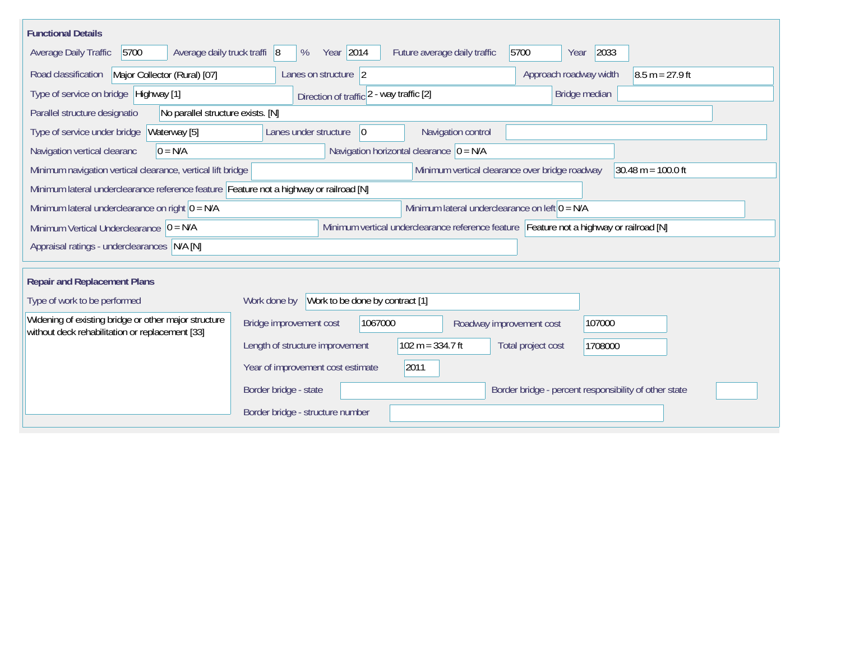| <b>Functional Details</b>                                                                                                                             |                                                                                        |  |  |  |  |  |  |  |  |  |
|-------------------------------------------------------------------------------------------------------------------------------------------------------|----------------------------------------------------------------------------------------|--|--|--|--|--|--|--|--|--|
| 5700<br>Average daily truck traffi 8<br>Average Daily Traffic                                                                                         | Year 2014<br>2033<br>Future average daily traffic<br>5700<br>%<br>Year                 |  |  |  |  |  |  |  |  |  |
| Major Collector (Rural) [07]<br>Road classification                                                                                                   | $8.5 m = 27.9 ft$<br>Lanes on structure 2<br>Approach roadway width                    |  |  |  |  |  |  |  |  |  |
| Type of service on bridge Highway [1]                                                                                                                 | Bridge median<br>Direction of traffic 2 - way traffic [2]                              |  |  |  |  |  |  |  |  |  |
| Parallel structure designatio<br>No parallel structure exists. [N]                                                                                    |                                                                                        |  |  |  |  |  |  |  |  |  |
| Waterway [5]<br>Type of service under bridge                                                                                                          | 0<br>Navigation control<br>Lanes under structure                                       |  |  |  |  |  |  |  |  |  |
| Navigation horizontal clearance $ 0 = N/A$<br>$0 = N/A$<br>Navigation vertical clearanc                                                               |                                                                                        |  |  |  |  |  |  |  |  |  |
| Minimum vertical clearance over bridge roadway<br>$30.48 \text{ m} = 100.0 \text{ ft}$<br>Minimum navigation vertical clearance, vertical lift bridge |                                                                                        |  |  |  |  |  |  |  |  |  |
| Minimum lateral underclearance reference feature Feature not a highway or railroad [N]                                                                |                                                                                        |  |  |  |  |  |  |  |  |  |
| Minimum lateral underclearance on right $0 = N/A$                                                                                                     | Minimum lateral underclearance on left $0 = N/A$                                       |  |  |  |  |  |  |  |  |  |
| Minimum vertical underclearance reference feature Feature not a highway or railroad [N]<br>Minimum Vertical Underclearance $ 0 = N/A$                 |                                                                                        |  |  |  |  |  |  |  |  |  |
| Appraisal ratings - underclearances N/A [N]                                                                                                           |                                                                                        |  |  |  |  |  |  |  |  |  |
| <b>Repair and Replacement Plans</b>                                                                                                                   |                                                                                        |  |  |  |  |  |  |  |  |  |
| Type of work to be performed                                                                                                                          | Work to be done by contract [1]<br>Work done by                                        |  |  |  |  |  |  |  |  |  |
| Widening of existing bridge or other major structure<br>without deck rehabilitation or replacement [33]                                               | 1067000<br>Bridge improvement cost<br>107000<br>Roadway improvement cost               |  |  |  |  |  |  |  |  |  |
|                                                                                                                                                       | $102 m = 334.7 ft$<br>Length of structure improvement<br>Total project cost<br>1708000 |  |  |  |  |  |  |  |  |  |
|                                                                                                                                                       | 2011<br>Year of improvement cost estimate                                              |  |  |  |  |  |  |  |  |  |
|                                                                                                                                                       | Border bridge - state<br>Border bridge - percent responsibility of other state         |  |  |  |  |  |  |  |  |  |
|                                                                                                                                                       | Border bridge - structure number                                                       |  |  |  |  |  |  |  |  |  |